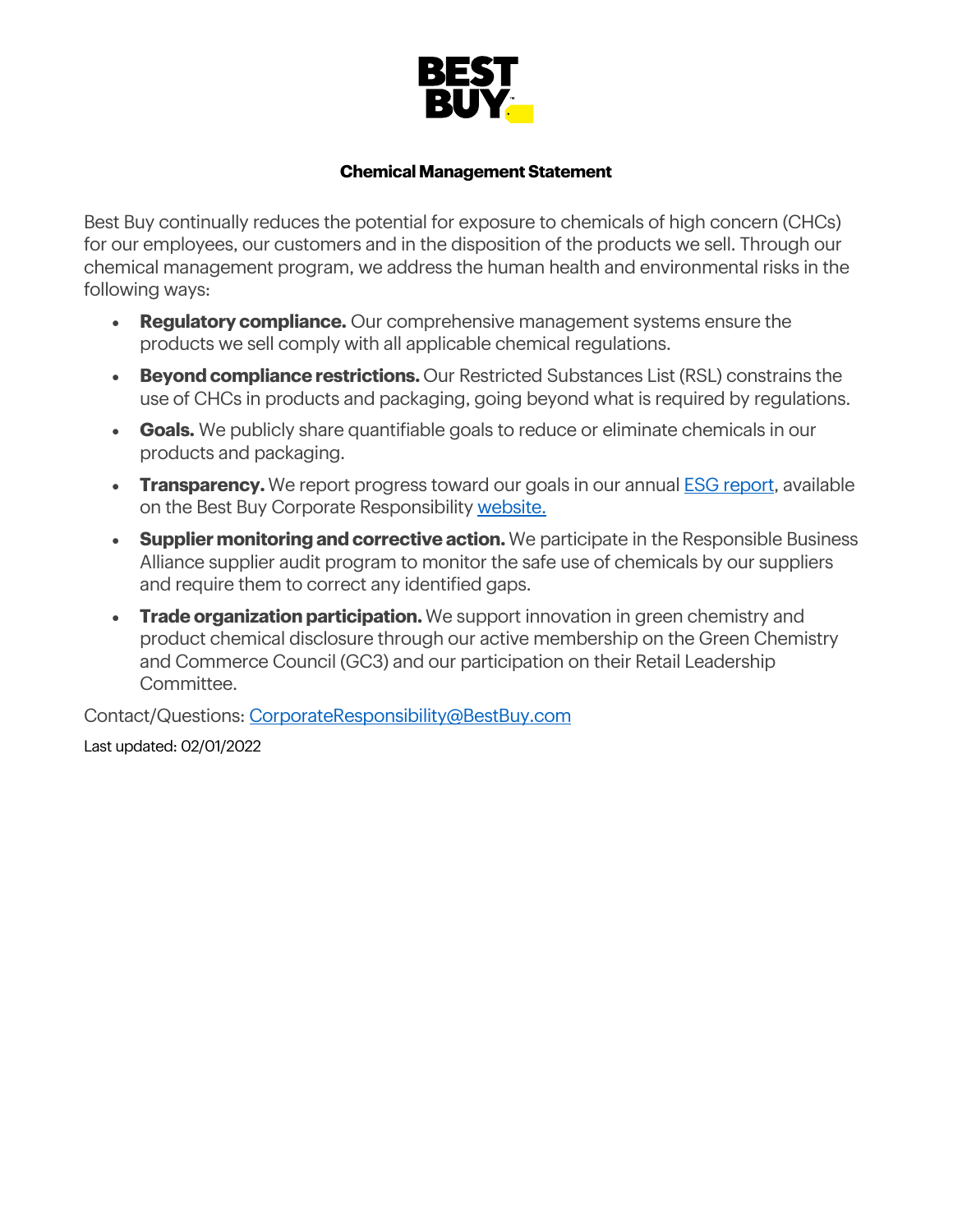

## **Chemical Management Statement**

Best Buy continually reduces the potential for exposure to chemicals of high concern (CHCs) for our employees, our customers and in the disposition of the products we sell. Through our chemical management program, we address the human health and environmental risks in the following ways:

- **Regulatory compliance.** Our comprehensive management systems ensure the products we sell comply with all applicable chemical regulations.
- **Beyond compliance restrictions.** Our Restricted Substances List (RSL) constrains the use of CHCs in products and packaging, going beyond what is required by regulations.
- **Goals.** We publicly share quantifiable goals to reduce or eliminate chemicals in our products and packaging.
- **Transparency.** We report progress toward our goals in our annual **ESG report**, available on the Best Buy Corporate Responsibility website.
- **Supplier monitoring and corrective action.** We participate in the Responsible Business Alliance supplier audit program to monitor the safe use of chemicals by our suppliers and require them to correct any identified gaps.
- **Trade organization participation.** We support innovation in green chemistry and product chemical disclosure through our active membership on the Green Chemistry and Commerce Council (GC3) and our participation on their Retail Leadership Committee.

Contact/Questions: CorporateResponsibility@BestBuy.com Last updated: 02/01/2022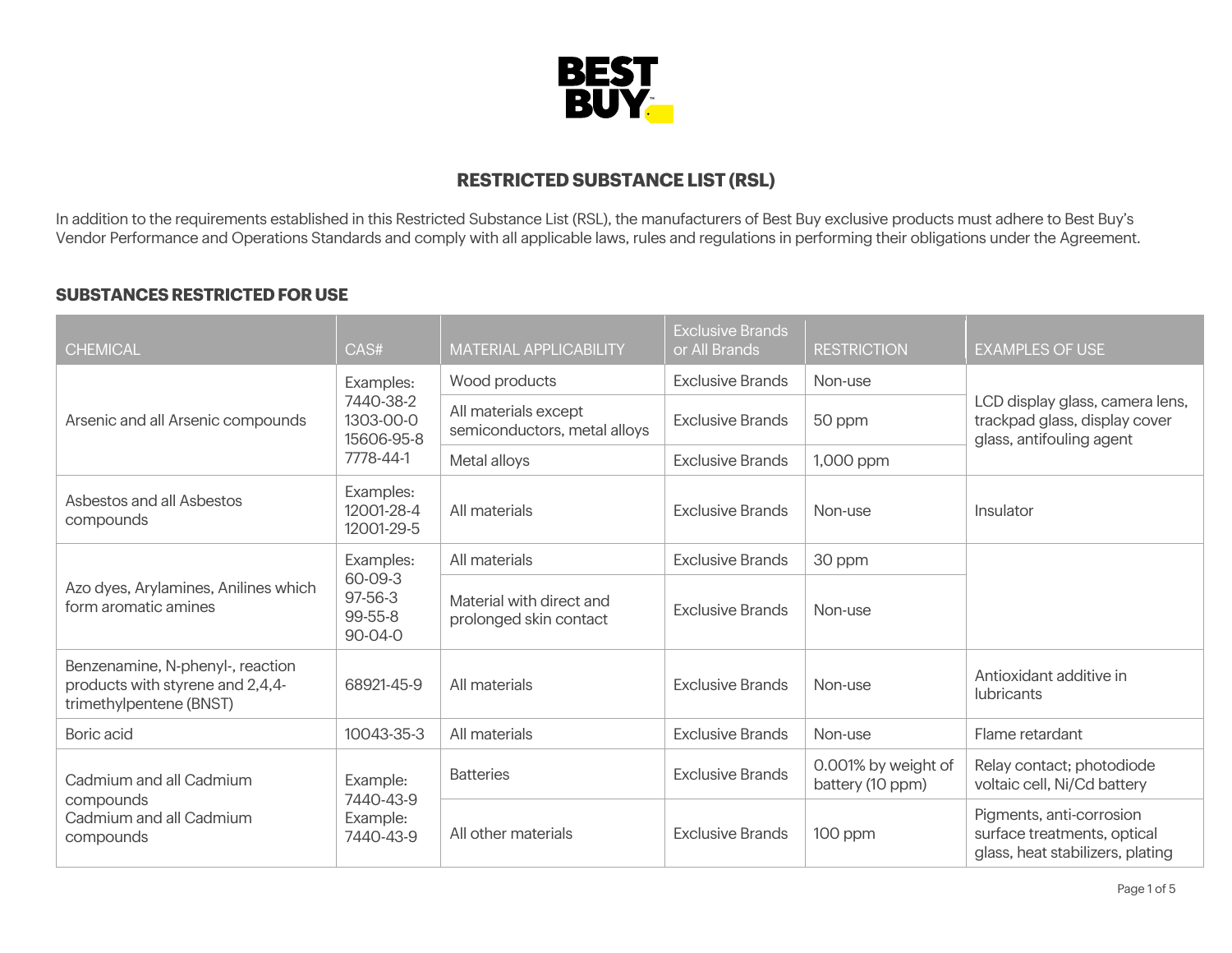

## **RESTRICTED SUBSTANCE LIST (RSL)**

In addition to the requirements established in this Restricted Substance List (RSL), the manufacturers of Best Buy exclusive products must adhere to Best Buy's Vendor Performance and Operations Standards and comply with all applicable laws, rules and regulations in performing their obligations under the Agreement.

## **SUBSTANCES RESTRICTED FOR USE**

| <b>CHEMICAL</b>                                                                                 | CAS#                                                  | MATERIAL APPLICABILITY                               | <b>Exclusive Brands</b><br>or All Brands | <b>RESTRICTION</b>                      | <b>EXAMPLES OF USE</b>                                                                       |
|-------------------------------------------------------------------------------------------------|-------------------------------------------------------|------------------------------------------------------|------------------------------------------|-----------------------------------------|----------------------------------------------------------------------------------------------|
| Arsenic and all Arsenic compounds                                                               | Examples:<br>7440-38-2<br>1303-00-0<br>15606-95-8     | Wood products                                        | <b>Exclusive Brands</b>                  | Non-use                                 | LCD display glass, camera lens,<br>trackpad glass, display cover<br>glass, antifouling agent |
|                                                                                                 |                                                       | All materials except<br>semiconductors, metal alloys | <b>Exclusive Brands</b>                  | 50 ppm                                  |                                                                                              |
|                                                                                                 | 7778-44-1                                             | Metal alloys                                         | <b>Exclusive Brands</b>                  | 1,000 ppm                               |                                                                                              |
| Asbestos and all Asbestos<br>compounds                                                          | Examples:<br>12001-28-4<br>12001-29-5                 | All materials                                        | <b>Exclusive Brands</b>                  | Non-use                                 | Insulator                                                                                    |
| Azo dyes, Arylamines, Anilines which<br>form aromatic amines                                    | Examples:<br>60-09-3<br>97-56-3<br>99-55-8<br>90-04-0 | All materials                                        | <b>Exclusive Brands</b>                  | 30 ppm                                  |                                                                                              |
|                                                                                                 |                                                       | Material with direct and<br>prolonged skin contact   | <b>Exclusive Brands</b>                  | Non-use                                 |                                                                                              |
| Benzenamine, N-phenyl-, reaction<br>products with styrene and 2,4,4-<br>trimethylpentene (BNST) | 68921-45-9                                            | All materials                                        | <b>Exclusive Brands</b>                  | Non-use                                 | Antioxidant additive in<br><b>lubricants</b>                                                 |
| Boric acid                                                                                      | 10043-35-3                                            | All materials                                        | <b>Exclusive Brands</b>                  | Non-use                                 | Flame retardant                                                                              |
| Cadmium and all Cadmium<br>compounds<br>Cadmium and all Cadmium<br>compounds                    | Example:<br>7440-43-9<br>Example:<br>7440-43-9        | <b>Batteries</b>                                     | <b>Exclusive Brands</b>                  | 0.001% by weight of<br>battery (10 ppm) | Relay contact; photodiode<br>voltaic cell, Ni/Cd battery                                     |
|                                                                                                 |                                                       | All other materials                                  | <b>Exclusive Brands</b>                  | 100 ppm                                 | Pigments, anti-corrosion<br>surface treatments, optical<br>glass, heat stabilizers, plating  |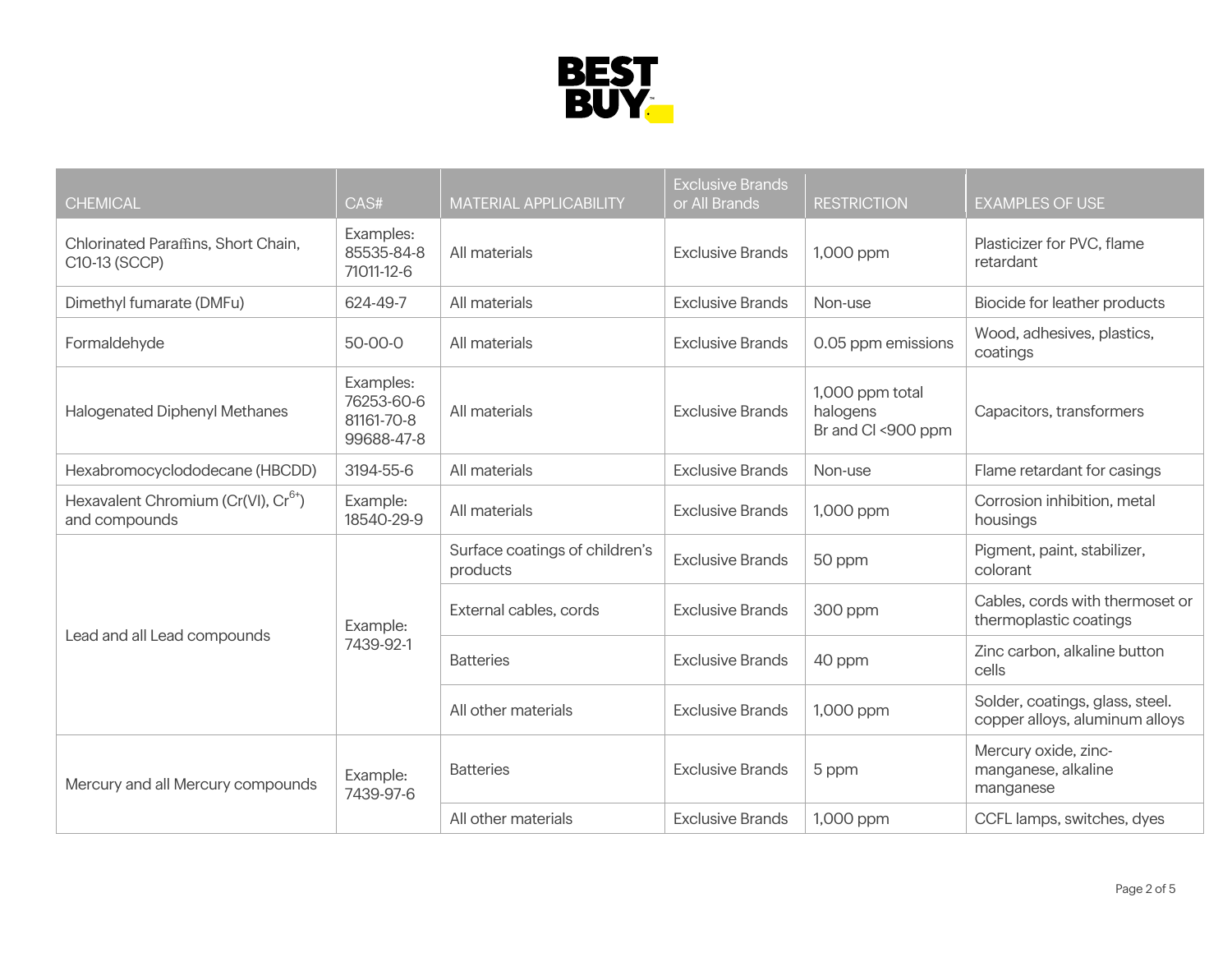

| <b>CHEMICAL</b>                                                  | CAS#                                                | <b>MATERIAL APPLICABILITY</b>              | <b>Exclusive Brands</b><br>or All Brands | <b>RESTRICTION</b>                                | <b>EXAMPLES OF USE</b>                                            |
|------------------------------------------------------------------|-----------------------------------------------------|--------------------------------------------|------------------------------------------|---------------------------------------------------|-------------------------------------------------------------------|
| Chlorinated Paraffins, Short Chain,<br>C10-13 (SCCP)             | Examples:<br>85535-84-8<br>71011-12-6               | All materials                              | <b>Exclusive Brands</b>                  | 1,000 ppm                                         | Plasticizer for PVC, flame<br>retardant                           |
| Dimethyl fumarate (DMFu)                                         | 624-49-7                                            | All materials                              | <b>Exclusive Brands</b>                  | Non-use                                           | Biocide for leather products                                      |
| Formaldehyde                                                     | 50-00-0                                             | All materials                              | <b>Exclusive Brands</b>                  | 0.05 ppm emissions                                | Wood, adhesives, plastics,<br>coatings                            |
| <b>Halogenated Diphenyl Methanes</b>                             | Examples:<br>76253-60-6<br>81161-70-8<br>99688-47-8 | All materials                              | <b>Exclusive Brands</b>                  | 1,000 ppm total<br>halogens<br>Br and Cl <900 ppm | Capacitors, transformers                                          |
| Hexabromocyclododecane (HBCDD)                                   | 3194-55-6                                           | All materials                              | <b>Exclusive Brands</b>                  | Non-use                                           | Flame retardant for casings                                       |
| Hexavalent Chromium (Cr(VI), Cr <sup>6+</sup> )<br>and compounds | Example:<br>18540-29-9                              | All materials                              | <b>Exclusive Brands</b>                  | 1,000 ppm                                         | Corrosion inhibition, metal<br>housings                           |
| Lead and all Lead compounds                                      | Example:<br>7439-92-1                               | Surface coatings of children's<br>products | <b>Exclusive Brands</b>                  | 50 ppm                                            | Pigment, paint, stabilizer,<br>colorant                           |
|                                                                  |                                                     | External cables, cords                     | <b>Exclusive Brands</b>                  | 300 ppm                                           | Cables, cords with thermoset or<br>thermoplastic coatings         |
|                                                                  |                                                     | <b>Batteries</b>                           | <b>Exclusive Brands</b>                  | 40 ppm                                            | Zinc carbon, alkaline button<br>cells                             |
|                                                                  |                                                     | All other materials                        | <b>Exclusive Brands</b>                  | 1,000 ppm                                         | Solder, coatings, glass, steel.<br>copper alloys, aluminum alloys |
| Mercury and all Mercury compounds                                | Example:<br>7439-97-6                               | <b>Batteries</b>                           | <b>Exclusive Brands</b>                  | 5 ppm                                             | Mercury oxide, zinc-<br>manganese, alkaline<br>manganese          |
|                                                                  |                                                     | All other materials                        | <b>Exclusive Brands</b>                  | 1,000 ppm                                         | CCFL lamps, switches, dyes                                        |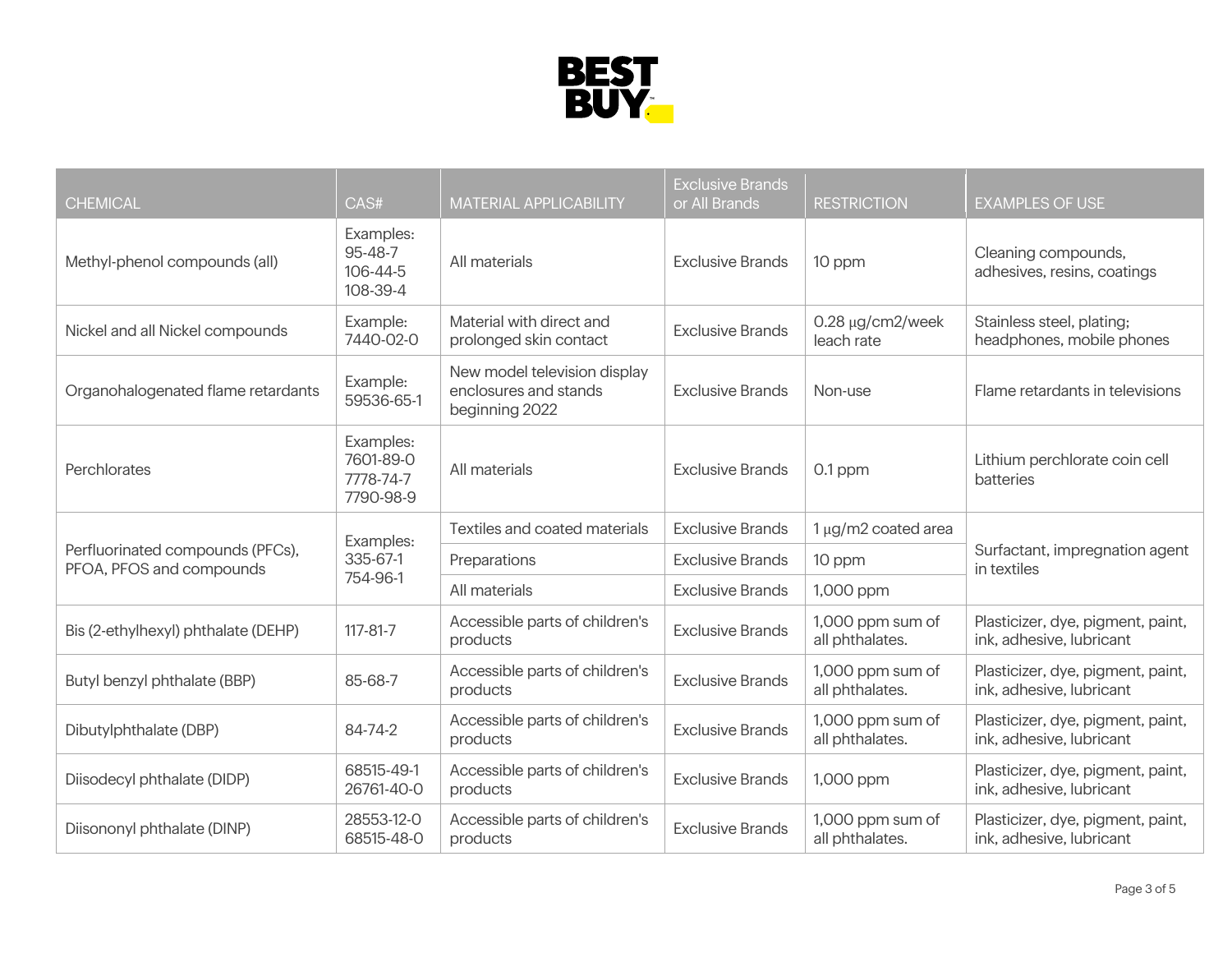

| <b>CHEMICAL</b>                                              | CAS#                                             | <b>MATERIAL APPLICABILITY</b>                                           | <b>Exclusive Brands</b><br>or All Brands | <b>RESTRICTION</b>                   | <b>EXAMPLES OF USE</b>                                        |
|--------------------------------------------------------------|--------------------------------------------------|-------------------------------------------------------------------------|------------------------------------------|--------------------------------------|---------------------------------------------------------------|
| Methyl-phenol compounds (all)                                | Examples:<br>95-48-7<br>106-44-5<br>108-39-4     | All materials                                                           | <b>Exclusive Brands</b>                  | 10 ppm                               | Cleaning compounds,<br>adhesives, resins, coatings            |
| Nickel and all Nickel compounds                              | Example:<br>7440-02-0                            | Material with direct and<br>prolonged skin contact                      | <b>Exclusive Brands</b>                  | $0.28 \mu g/cm2/$ week<br>leach rate | Stainless steel, plating;<br>headphones, mobile phones        |
| Organohalogenated flame retardants                           | Example:<br>59536-65-1                           | New model television display<br>enclosures and stands<br>beginning 2022 | <b>Exclusive Brands</b>                  | Non-use                              | Flame retardants in televisions                               |
| Perchlorates                                                 | Examples:<br>7601-89-0<br>7778-74-7<br>7790-98-9 | All materials                                                           | <b>Exclusive Brands</b>                  | $0.1$ ppm                            | Lithium perchlorate coin cell<br>batteries                    |
| Perfluorinated compounds (PFCs),<br>PFOA, PFOS and compounds | Examples:<br>335-67-1<br>754-96-1                | Textiles and coated materials                                           | <b>Exclusive Brands</b>                  | 1 µg/m2 coated area                  | Surfactant, impregnation agent<br>in textiles                 |
|                                                              |                                                  | Preparations                                                            | <b>Exclusive Brands</b>                  | 10 ppm                               |                                                               |
|                                                              |                                                  | All materials                                                           | <b>Exclusive Brands</b>                  | 1,000 ppm                            |                                                               |
| Bis (2-ethylhexyl) phthalate (DEHP)                          | $117 - 81 - 7$                                   | Accessible parts of children's<br>products                              | <b>Exclusive Brands</b>                  | 1,000 ppm sum of<br>all phthalates.  | Plasticizer, dye, pigment, paint,<br>ink, adhesive, lubricant |
| Butyl benzyl phthalate (BBP)                                 | 85-68-7                                          | Accessible parts of children's<br>products                              | <b>Exclusive Brands</b>                  | 1,000 ppm sum of<br>all phthalates.  | Plasticizer, dye, pigment, paint,<br>ink, adhesive, lubricant |
| Dibutylphthalate (DBP)                                       | 84-74-2                                          | Accessible parts of children's<br>products                              | <b>Exclusive Brands</b>                  | 1,000 ppm sum of<br>all phthalates.  | Plasticizer, dye, pigment, paint,<br>ink, adhesive, lubricant |
| Diisodecyl phthalate (DIDP)                                  | 68515-49-1<br>26761-40-0                         | Accessible parts of children's<br>products                              | <b>Exclusive Brands</b>                  | 1,000 ppm                            | Plasticizer, dye, pigment, paint,<br>ink, adhesive, lubricant |
| Diisononyl phthalate (DINP)                                  | 28553-12-0<br>68515-48-0                         | Accessible parts of children's<br>products                              | <b>Exclusive Brands</b>                  | 1,000 ppm sum of<br>all phthalates.  | Plasticizer, dye, pigment, paint,<br>ink, adhesive, lubricant |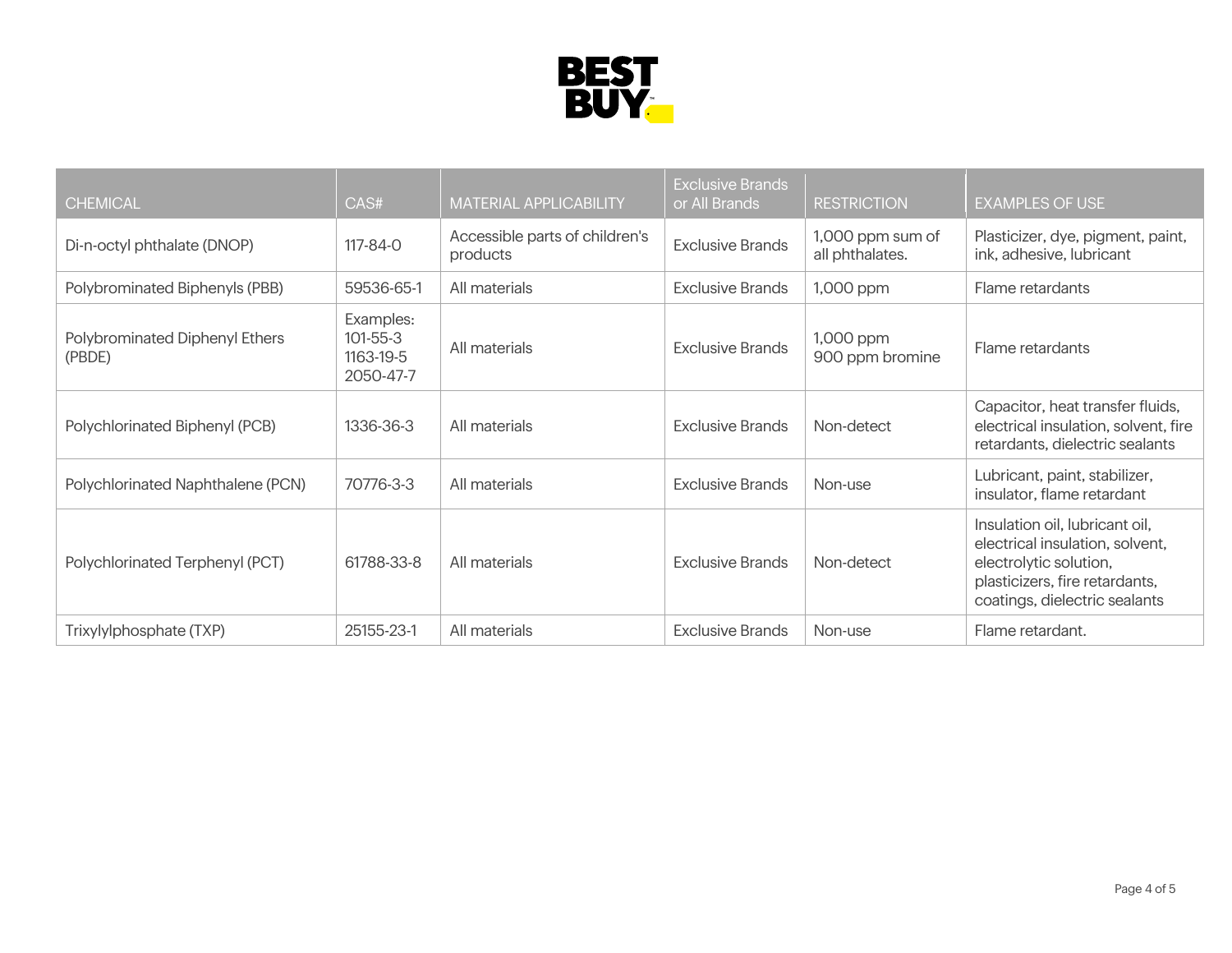

| <b>CHEMICAL</b>                          | CAS#                                                  | <b>MATERIAL APPLICABILITY</b>              | <b>Exclusive Brands</b><br>or All Brands | <b>RESTRICTION</b>                  | <b>EXAMPLES OF USE</b>                                                                                                                                         |
|------------------------------------------|-------------------------------------------------------|--------------------------------------------|------------------------------------------|-------------------------------------|----------------------------------------------------------------------------------------------------------------------------------------------------------------|
| Di-n-octyl phthalate (DNOP)              | 117-84-0                                              | Accessible parts of children's<br>products | <b>Exclusive Brands</b>                  | 1,000 ppm sum of<br>all phthalates. | Plasticizer, dye, pigment, paint,<br>ink, adhesive, lubricant                                                                                                  |
| Polybrominated Biphenyls (PBB)           | 59536-65-1                                            | All materials                              | <b>Exclusive Brands</b>                  | 1,000 ppm                           | Flame retardants                                                                                                                                               |
| Polybrominated Diphenyl Ethers<br>(PBDE) | Examples:<br>$101 - 55 - 3$<br>1163-19-5<br>2050-47-7 | All materials                              | <b>Exclusive Brands</b>                  | 1,000 ppm<br>900 ppm bromine        | Flame retardants                                                                                                                                               |
| Polychlorinated Biphenyl (PCB)           | 1336-36-3                                             | All materials                              | <b>Exclusive Brands</b>                  | Non-detect                          | Capacitor, heat transfer fluids,<br>electrical insulation, solvent, fire<br>retardants, dielectric sealants                                                    |
| Polychlorinated Naphthalene (PCN)        | 70776-3-3                                             | All materials                              | <b>Exclusive Brands</b>                  | Non-use                             | Lubricant, paint, stabilizer,<br>insulator, flame retardant                                                                                                    |
| Polychlorinated Terphenyl (PCT)          | 61788-33-8                                            | All materials                              | <b>Exclusive Brands</b>                  | Non-detect                          | Insulation oil, lubricant oil,<br>electrical insulation, solvent,<br>electrolytic solution,<br>plasticizers, fire retardants,<br>coatings, dielectric sealants |
| Trixylylphosphate (TXP)                  | 25155-23-1                                            | All materials                              | <b>Exclusive Brands</b>                  | Non-use                             | Flame retardant.                                                                                                                                               |